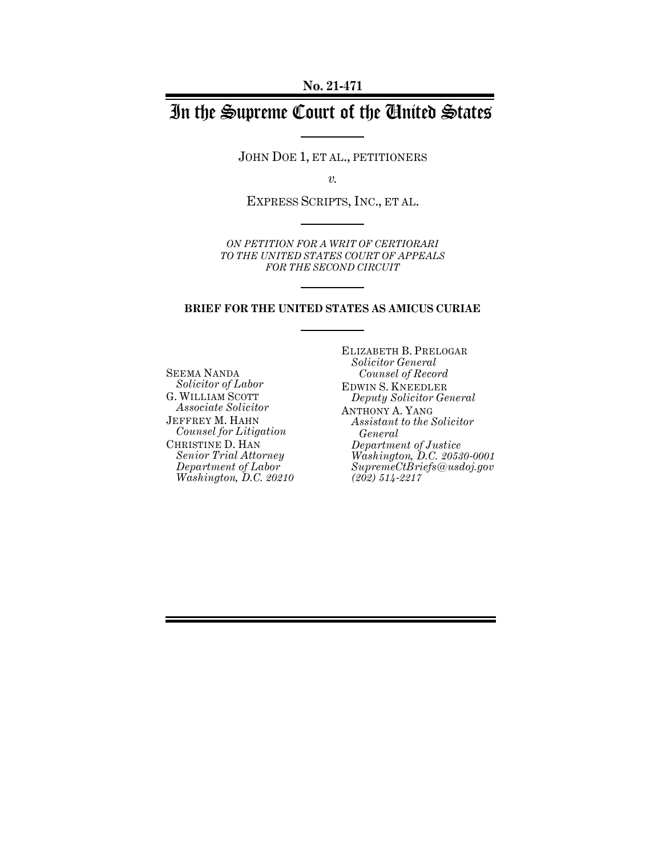# In the Supreme Court of the United States

JOHN DOE 1, ET AL., PETITIONERS

*v.*

EXPRESS SCRIPTS, INC., ET AL.

*ON PETITION FOR A WRIT OF CERTIORARI TO THE UNITED STATES COURT OF APPEALS FOR THE SECOND CIRCUIT*

#### **BRIEF FOR THE UNITED STATES AS AMICUS CURIAE**

SEEMA NANDA *Solicitor of Labor* G. WILLIAM SCOTT *Associate Solicitor* JEFFREY M. HAHN *Counsel for Litigation* CHRISTINE D. HAN *Senior Trial Attorney Department of Labor Washington, D.C. 20210* ELIZABETH B. PRELOGAR *Solicitor General Counsel of Record* EDWIN S. KNEEDLER *Deputy Solicitor General* ANTHONY A. YANG *Assistant to the Solicitor General Department of Justice Washington, D.C. 20530-0001 SupremeCtBriefs@usdoj.gov (202) 514-2217*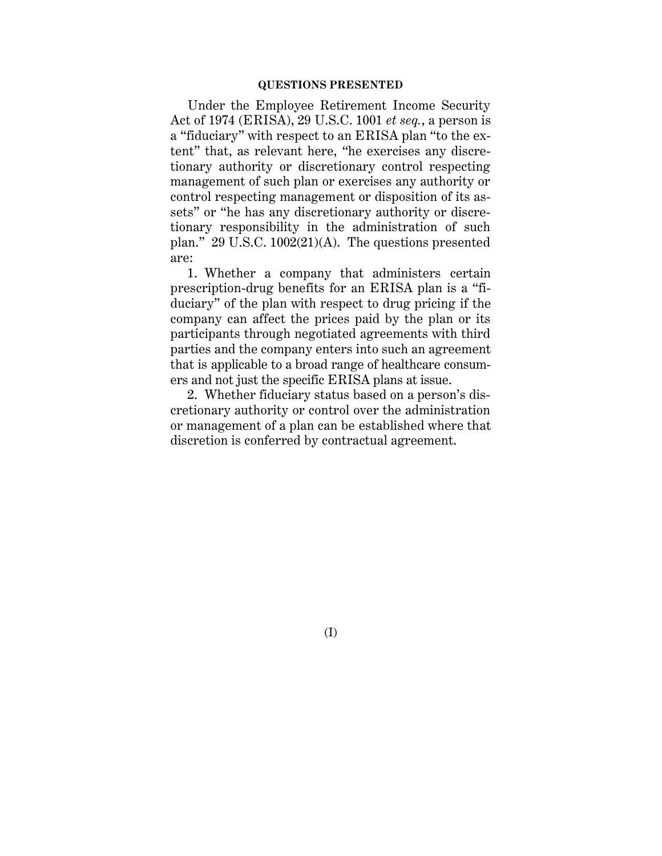### **QUESTIONS PRESENTED**

Under the Employee Retirement Income Security Act of 1974 (ERISA), 29 U.S.C. 1001 *et seq.*, a person is a "fiduciary" with respect to an ERISA plan "to the extent" that, as relevant here, "he exercises any discretionary authority or discretionary control respecting management of such plan or exercises any authority or control respecting management or disposition of its assets" or "he has any discretionary authority or discretionary responsibility in the administration of such plan." 29 U.S.C. 1002(21)(A). The questions presented are:

1. Whether a company that administers certain prescription-drug benefits for an ERISA plan is a "fiduciary" of the plan with respect to drug pricing if the company can affect the prices paid by the plan or its participants through negotiated agreements with third parties and the company enters into such an agreement that is applicable to a broad range of healthcare consumers and not just the specific ERISA plans at issue.

2. Whether fiduciary status based on a person's discretionary authority or control over the administration or management of a plan can be established where that discretion is conferred by contractual agreement.

(I)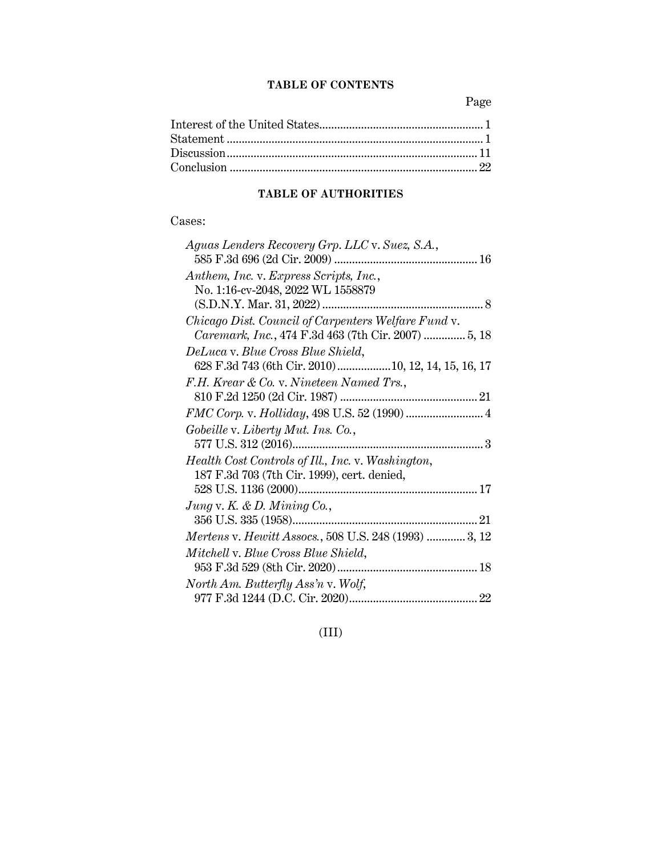## **TABLE OF CONTENTS**

Page

# **TABLE OF AUTHORITIES**

## Cases:

| Aguas Lenders Recovery Grp. LLC v. Suez, S.A.,        |
|-------------------------------------------------------|
| Anthem, Inc. v. Express Scripts, Inc.,                |
| No. 1:16-cv-2048, 2022 WL 1558879                     |
|                                                       |
| Chicago Dist. Council of Carpenters Welfare Fund v.   |
| Caremark, Inc., 474 F.3d 463 (7th Cir. 2007)  5, 18   |
| DeLuca v. Blue Cross Blue Shield,                     |
|                                                       |
| F.H. Krear & Co. v. Nineteen Named Trs.,              |
|                                                       |
| FMC Corp. v. Holliday, 498 U.S. 52 (1990)  4          |
| Gobeille v. Liberty Mut. Ins. Co.,                    |
|                                                       |
| Health Cost Controls of Ill., Inc. v. Washington,     |
| 187 F.3d 703 (7th Cir. 1999), cert. denied,           |
|                                                       |
| Jung v. K. & D. Mining Co.,                           |
|                                                       |
| Mertens v. Hewitt Assocs., 508 U.S. 248 (1993)  3, 12 |
| Mitchell v. Blue Cross Blue Shield,                   |
|                                                       |
| North Am. Butterfly Ass'n v. Wolf,                    |
|                                                       |

(III)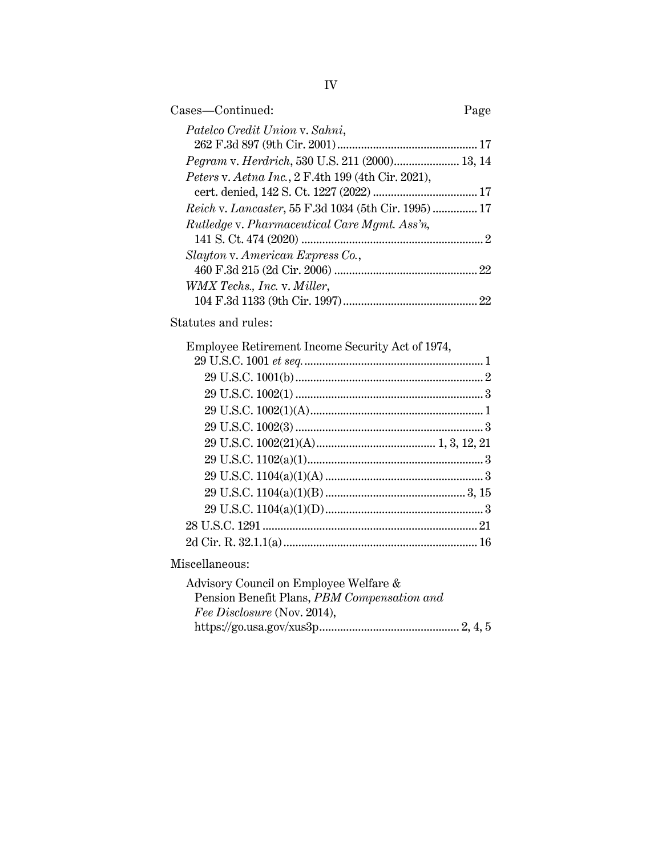| Cases—Continued:                                            | Page |
|-------------------------------------------------------------|------|
| Patelco Credit Union v. Sahni,                              |      |
|                                                             |      |
| <i>Pegram v. Herdrich</i> , 530 U.S. 211 (2000) 13, 14      |      |
| Peters v. Aetna Inc., 2 F.4th 199 (4th Cir. 2021),          |      |
|                                                             |      |
| <i>Reich v. Lancaster</i> , 55 F.3d 1034 (5th Cir. 1995) 17 |      |
| <i>Rutledge v. Pharmaceutical Care Mgmt. Ass'n,</i>         |      |
|                                                             |      |
| Slayton v. American Express Co.,                            |      |
|                                                             | 22   |
| WMX Techs., Inc. v. Miller,                                 |      |
|                                                             | 22   |
|                                                             |      |

Statutes and rules:

| Employee Retirement Income Security Act of 1974, |  |
|--------------------------------------------------|--|
|                                                  |  |
|                                                  |  |
|                                                  |  |
|                                                  |  |
|                                                  |  |
|                                                  |  |
|                                                  |  |
|                                                  |  |
|                                                  |  |
|                                                  |  |
|                                                  |  |
|                                                  |  |
|                                                  |  |

Miscellaneous:

| Advisory Council on Employee Welfare &      |  |
|---------------------------------------------|--|
| Pension Benefit Plans, PBM Compensation and |  |
| Fee Disclosure (Nov. 2014),                 |  |
|                                             |  |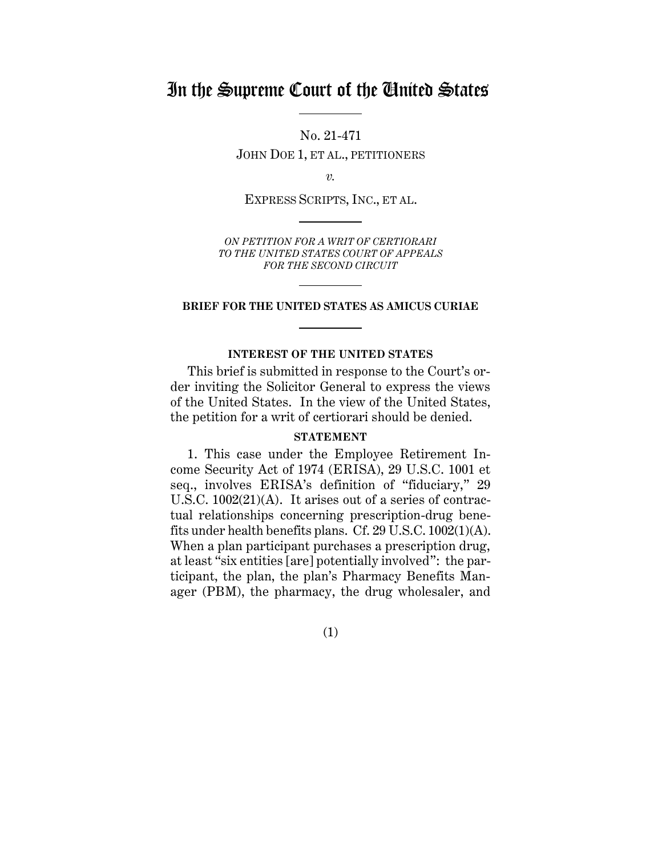# In the Supreme Court of the United States

No. 21-471 JOHN DOE 1, ET AL., PETITIONERS

*v.*

EXPRESS SCRIPTS, INC., ET AL.

*ON PETITION FOR A WRIT OF CERTIORARI TO THE UNITED STATES COURT OF APPEALS FOR THE SECOND CIRCUIT*

### **BRIEF FOR THE UNITED STATES AS AMICUS CURIAE**

### **INTEREST OF THE UNITED STATES**

<span id="page-4-0"></span>This brief is submitted in response to the Court's order inviting the Solicitor General to express the views of the United States. In the view of the United States, the petition for a writ of certiorari should be denied.

### **STATEMENT**

<span id="page-4-1"></span>1. This case under the Employee Retirement Income Security Act of 1974 (ERISA), 29 U.S.C. 1001 et seq., involves ERISA's definition of "fiduciary," 29 U.S.C. 1002(21)(A). It arises out of a series of contractual relationships concerning prescription-drug benefits under health benefits plans. Cf. 29 U.S.C. 1002(1)(A). When a plan participant purchases a prescription drug, at least "six entities [are] potentially involved": the participant, the plan, the plan's Pharmacy Benefits Manager (PBM), the pharmacy, the drug wholesaler, and

(1)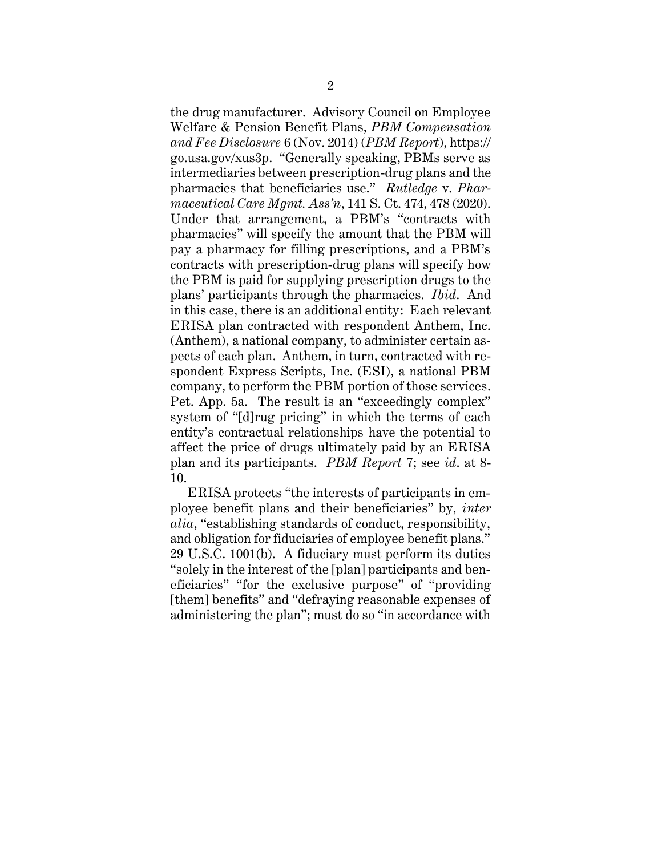the drug manufacturer. Advisory Council on Employee Welfare & Pension Benefit Plans, *PBM Compensation and Fee Disclosure* 6 (Nov. 2014) (*PBM Report*), https:// go.usa.gov/xus3p. "Generally speaking, PBMs serve as intermediaries between prescription-drug plans and the pharmacies that beneficiaries use." *Rutledge* v. *Pharmaceutical Care Mgmt. Ass'n*, 141 S. Ct. 474, 478 (2020). Under that arrangement, a PBM's "contracts with pharmacies" will specify the amount that the PBM will pay a pharmacy for filling prescriptions, and a PBM's contracts with prescription-drug plans will specify how the PBM is paid for supplying prescription drugs to the plans' participants through the pharmacies. *Ibid*. And in this case, there is an additional entity: Each relevant ERISA plan contracted with respondent Anthem, Inc. (Anthem), a national company, to administer certain aspects of each plan. Anthem, in turn, contracted with respondent Express Scripts, Inc. (ESI), a national PBM company, to perform the PBM portion of those services. Pet. App. 5a. The result is an "exceedingly complex" system of "[d]rug pricing" in which the terms of each entity's contractual relationships have the potential to affect the price of drugs ultimately paid by an ERISA plan and its participants. *PBM Report* 7; see *id*. at 8- 10.

ERISA protects "the interests of participants in employee benefit plans and their beneficiaries" by, *inter alia*, "establishing standards of conduct, responsibility, and obligation for fiduciaries of employee benefit plans." 29 U.S.C. 1001(b). A fiduciary must perform its duties "solely in the interest of the [plan] participants and beneficiaries" "for the exclusive purpose" of "providing [them] benefits" and "defraying reasonable expenses of administering the plan"; must do so "in accordance with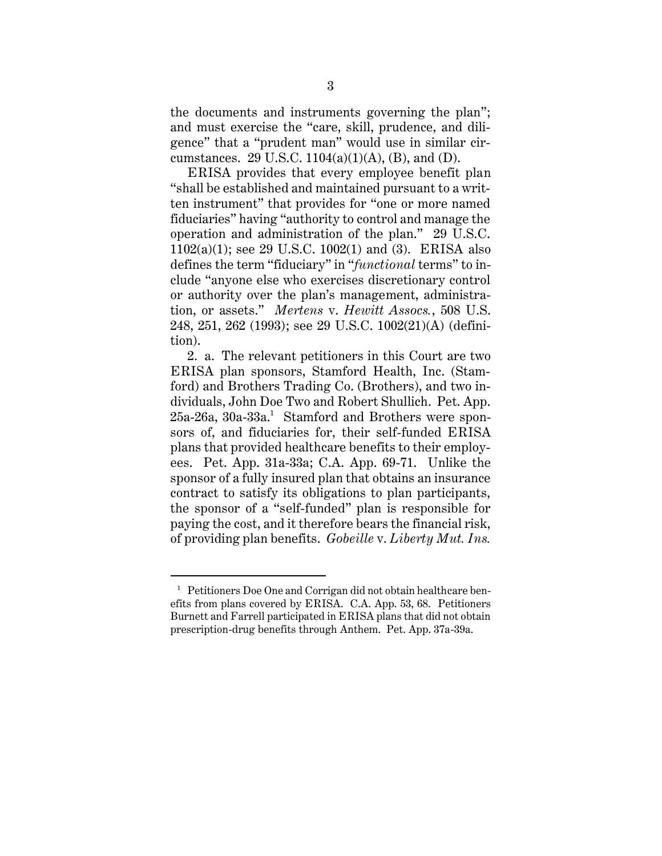the documents and instruments governing the plan"; and must exercise the "care, skill, prudence, and diligence" that a "prudent man" would use in similar circumstances. 29 U.S.C.  $1104(a)(1)(A)$ , (B), and (D).

ERISA provides that every employee benefit plan "shall be established and maintained pursuant to a written instrument" that provides for "one or more named fiduciaries" having "authority to control and manage the operation and administration of the plan." 29 U.S.C. 1102(a)(1); see 29 U.S.C. 1002(1) and (3). ERISA also defines the term "fiduciary" in "*functional* terms" to include "anyone else who exercises discretionary control or authority over the plan's management, administration, or assets." *Mertens* v. *Hewitt Assocs.*, 508 U.S. 248, 251, 262 (1993); see 29 U.S.C. 1002(21)(A) (definition).

2. a. The relevant petitioners in this Court are two ERISA plan sponsors, Stamford Health, Inc. (Stamford) and Brothers Trading Co. (Brothers), and two individuals, John Doe Two and Robert Shullich. Pet. App.  $25$ a-26a, 30a-33a. $^1$  Stamford and Brothers were sponsors of, and fiduciaries for, their self-funded ERISA plans that provided healthcare benefits to their employees. Pet. App. 31a-33a; C.A. App. 69-71. Unlike the sponsor of a fully insured plan that obtains an insurance contract to satisfy its obligations to plan participants, the sponsor of a "self-funded" plan is responsible for paying the cost, and it therefore bears the financial risk, of providing plan benefits. *Gobeille* v. *Liberty Mut. Ins.* 

<sup>&</sup>lt;sup>1</sup> Petitioners Doe One and Corrigan did not obtain healthcare benefits from plans covered by ERISA. C.A. App. 53, 68. Petitioners Burnett and Farrell participated in ERISA plans that did not obtain prescription-drug benefits through Anthem. Pet. App. 37a-39a.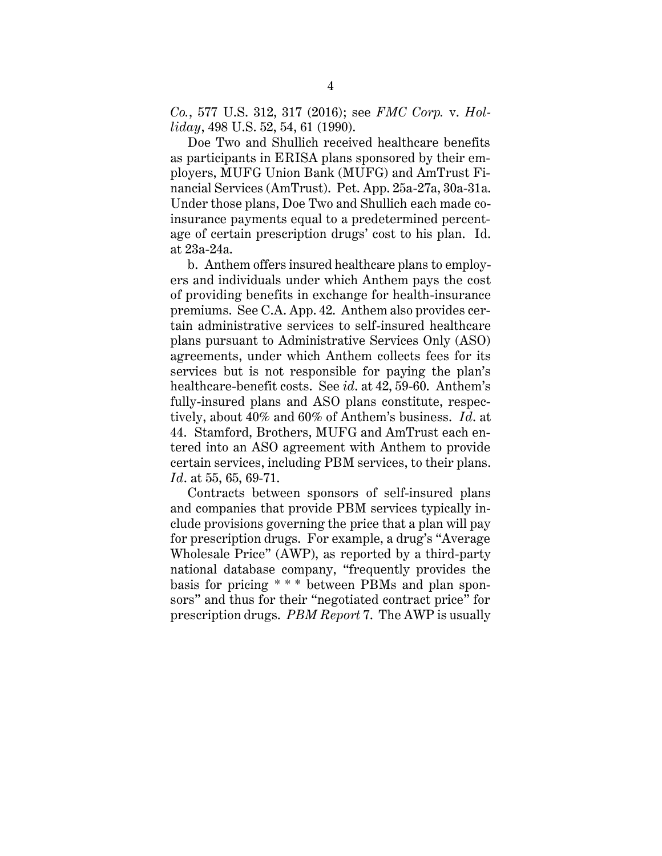*Co.*, 577 U.S. 312, 317 (2016); see *FMC Corp.* v. *Holliday*, 498 U.S. 52, 54, 61 (1990).

Doe Two and Shullich received healthcare benefits as participants in ERISA plans sponsored by their employers, MUFG Union Bank (MUFG) and AmTrust Financial Services (AmTrust). Pet. App. 25a-27a, 30a-31a. Under those plans, Doe Two and Shullich each made coinsurance payments equal to a predetermined percentage of certain prescription drugs' cost to his plan. Id. at 23a-24a.

b. Anthem offers insured healthcare plans to employers and individuals under which Anthem pays the cost of providing benefits in exchange for health-insurance premiums. See C.A. App. 42. Anthem also provides certain administrative services to self-insured healthcare plans pursuant to Administrative Services Only (ASO) agreements, under which Anthem collects fees for its services but is not responsible for paying the plan's healthcare-benefit costs. See *id*. at 42, 59-60. Anthem's fully-insured plans and ASO plans constitute, respectively, about 40% and 60% of Anthem's business. *Id*. at 44. Stamford, Brothers, MUFG and AmTrust each entered into an ASO agreement with Anthem to provide certain services, including PBM services, to their plans. *Id*. at 55, 65, 69-71.

Contracts between sponsors of self-insured plans and companies that provide PBM services typically include provisions governing the price that a plan will pay for prescription drugs. For example, a drug's "Average Wholesale Price" (AWP), as reported by a third-party national database company, "frequently provides the basis for pricing \* \* \* between PBMs and plan sponsors" and thus for their "negotiated contract price" for prescription drugs. *PBM Report* 7. The AWP is usually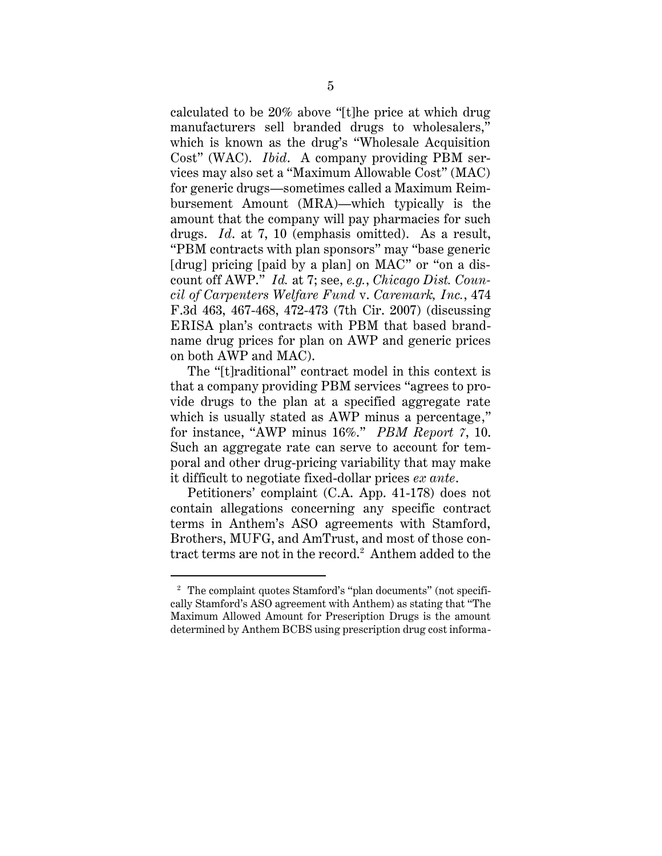calculated to be 20% above "[t]he price at which drug manufacturers sell branded drugs to wholesalers," which is known as the drug's "Wholesale Acquisition Cost" (WAC). *Ibid*. A company providing PBM services may also set a "Maximum Allowable Cost" (MAC) for generic drugs—sometimes called a Maximum Reimbursement Amount (MRA)—which typically is the amount that the company will pay pharmacies for such drugs. *Id*. at 7, 10 (emphasis omitted). As a result, "PBM contracts with plan sponsors" may "base generic [drug] pricing [paid by a plan] on MAC" or "on a discount off AWP." *Id.* at 7; see, *e.g.*, *Chicago Dist. Council of Carpenters Welfare Fund* v. *Caremark, Inc.*, 474 F.3d 463, 467-468, 472-473 (7th Cir. 2007) (discussing ERISA plan's contracts with PBM that based brandname drug prices for plan on AWP and generic prices on both AWP and MAC).

The "[t]raditional" contract model in this context is that a company providing PBM services "agrees to provide drugs to the plan at a specified aggregate rate which is usually stated as AWP minus a percentage," for instance, "AWP minus 16%." *PBM Report 7*, 10. Such an aggregate rate can serve to account for temporal and other drug-pricing variability that may make it difficult to negotiate fixed-dollar prices *ex ante*.

Petitioners' complaint (C.A. App. 41-178) does not contain allegations concerning any specific contract terms in Anthem's ASO agreements with Stamford, Brothers, MUFG, and AmTrust, and most of those contract terms are not in the record.<sup>2</sup> Anthem added to the

<sup>2</sup> The complaint quotes Stamford's "plan documents" (not specifically Stamford's ASO agreement with Anthem) as stating that "The Maximum Allowed Amount for Prescription Drugs is the amount determined by Anthem BCBS using prescription drug cost informa-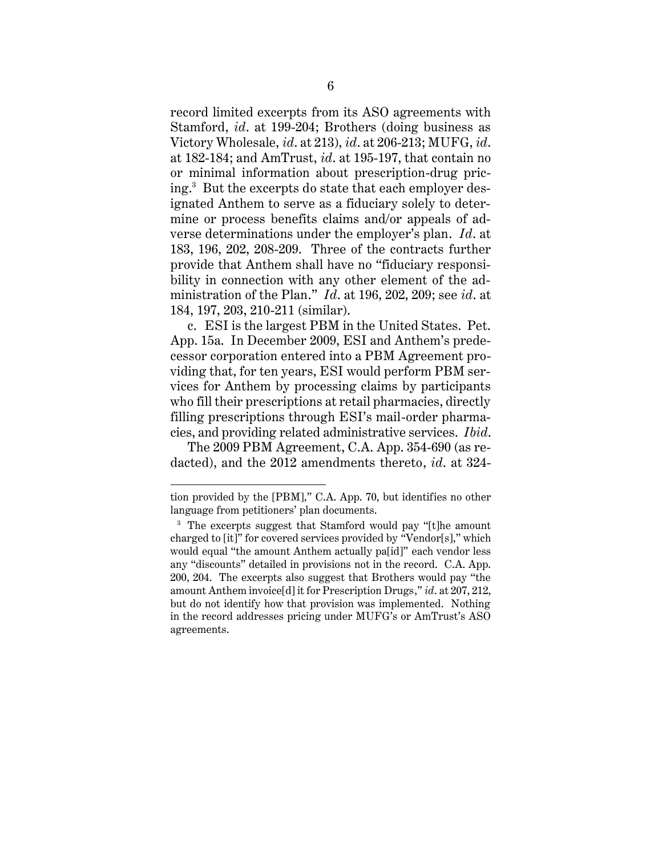record limited excerpts from its ASO agreements with Stamford, *id*. at 199-204; Brothers (doing business as Victory Wholesale, *id*. at 213), *id*. at 206-213; MUFG, *id*. at 182-184; and AmTrust, *id*. at 195-197, that contain no or minimal information about prescription-drug pricing.<sup>3</sup> But the excerpts do state that each employer designated Anthem to serve as a fiduciary solely to determine or process benefits claims and/or appeals of adverse determinations under the employer's plan. *Id*. at 183, 196, 202, 208-209. Three of the contracts further provide that Anthem shall have no "fiduciary responsibility in connection with any other element of the administration of the Plan." *Id*. at 196, 202, 209; see *id*. at 184, 197, 203, 210-211 (similar).

c. ESI is the largest PBM in the United States. Pet. App. 15a. In December 2009, ESI and Anthem's predecessor corporation entered into a PBM Agreement providing that, for ten years, ESI would perform PBM services for Anthem by processing claims by participants who fill their prescriptions at retail pharmacies, directly filling prescriptions through ESI's mail-order pharmacies, and providing related administrative services. *Ibid*.

The 2009 PBM Agreement, C.A. App. 354-690 (as redacted), and the 2012 amendments thereto, *id*. at 324-

tion provided by the [PBM]," C.A. App. 70, but identifies no other language from petitioners' plan documents.

<sup>&</sup>lt;sup>3</sup> The excerpts suggest that Stamford would pay "[t]he amount charged to [it]" for covered services provided by "Vendor[s]," which would equal "the amount Anthem actually pa[id]" each vendor less any "discounts" detailed in provisions not in the record. C.A. App. 200, 204. The excerpts also suggest that Brothers would pay "the amount Anthem invoice[d] it for Prescription Drugs," *id*. at 207, 212, but do not identify how that provision was implemented. Nothing in the record addresses pricing under MUFG's or AmTrust's ASO agreements.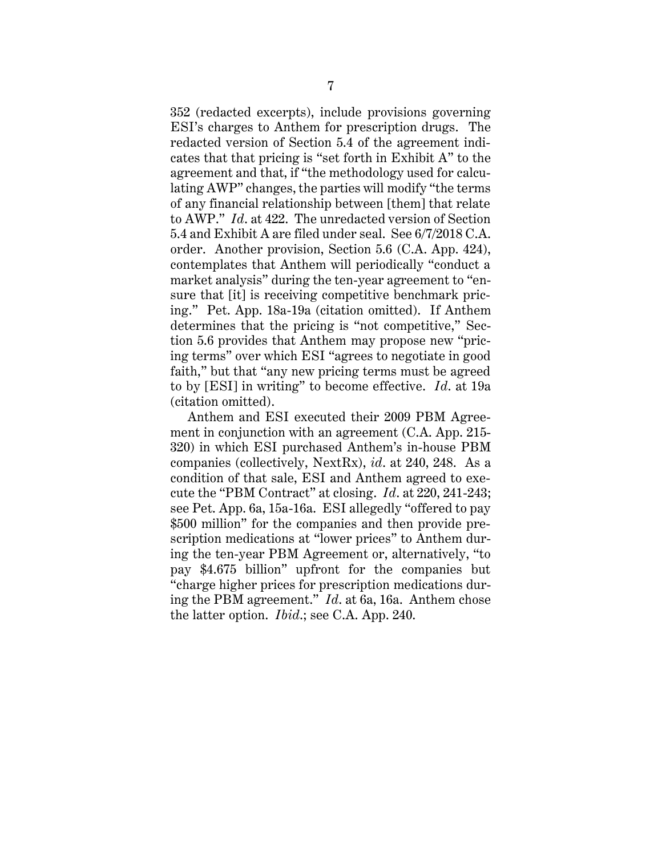352 (redacted excerpts), include provisions governing ESI's charges to Anthem for prescription drugs. The redacted version of Section 5.4 of the agreement indicates that that pricing is "set forth in Exhibit A" to the agreement and that, if "the methodology used for calculating AWP" changes, the parties will modify "the terms of any financial relationship between [them] that relate to AWP." *Id*. at 422. The unredacted version of Section 5.4 and Exhibit A are filed under seal. See 6/7/2018 C.A. order. Another provision, Section 5.6 (C.A. App. 424), contemplates that Anthem will periodically "conduct a market analysis" during the ten-year agreement to "ensure that [it] is receiving competitive benchmark pricing." Pet. App. 18a-19a (citation omitted). If Anthem determines that the pricing is "not competitive," Section 5.6 provides that Anthem may propose new "pricing terms" over which ESI "agrees to negotiate in good faith," but that "any new pricing terms must be agreed to by [ESI] in writing" to become effective. *Id*. at 19a (citation omitted).

Anthem and ESI executed their 2009 PBM Agreement in conjunction with an agreement (C.A. App. 215- 320) in which ESI purchased Anthem's in-house PBM companies (collectively, NextRx), *id*. at 240, 248. As a condition of that sale, ESI and Anthem agreed to execute the "PBM Contract" at closing. *Id*. at 220, 241-243; see Pet. App. 6a, 15a-16a. ESI allegedly "offered to pay \$500 million" for the companies and then provide prescription medications at "lower prices" to Anthem during the ten-year PBM Agreement or, alternatively, "to pay \$4.675 billion" upfront for the companies but "charge higher prices for prescription medications during the PBM agreement." *Id*. at 6a, 16a. Anthem chose the latter option. *Ibid*.; see C.A. App. 240.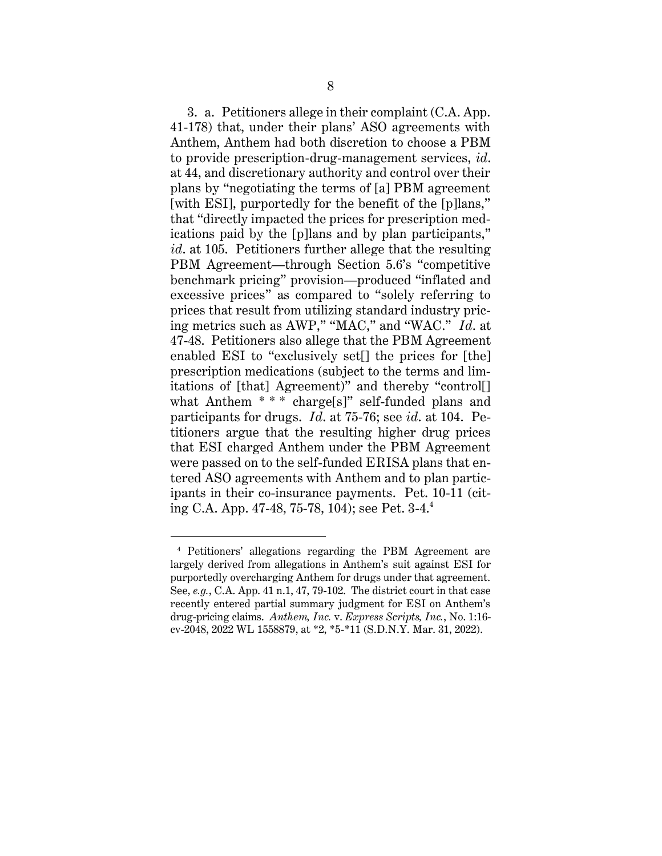3. a. Petitioners allege in their complaint (C.A. App. 41-178) that, under their plans' ASO agreements with Anthem, Anthem had both discretion to choose a PBM to provide prescription-drug-management services, *id*. at 44, and discretionary authority and control over their plans by "negotiating the terms of [a] PBM agreement [with ESI], purportedly for the benefit of the [p] ans," that "directly impacted the prices for prescription medications paid by the [p]lans and by plan participants," *id*. at 105. Petitioners further allege that the resulting PBM Agreement—through Section 5.6's "competitive benchmark pricing" provision—produced "inflated and excessive prices" as compared to "solely referring to prices that result from utilizing standard industry pricing metrics such as AWP," "MAC," and "WAC." *Id*. at 47-48. Petitioners also allege that the PBM Agreement enabled ESI to "exclusively set<sup>[]</sup> the prices for [the] prescription medications (subject to the terms and limitations of [that] Agreement)" and thereby "control[] what Anthem \*\*\* charge[s]" self-funded plans and participants for drugs. *Id*. at 75-76; see *id*. at 104. Petitioners argue that the resulting higher drug prices that ESI charged Anthem under the PBM Agreement were passed on to the self-funded ERISA plans that entered ASO agreements with Anthem and to plan participants in their co-insurance payments. Pet. 10-11 (citing C.A. App. 47-48, 75-78, 104); see Pet. 3-4.<sup>4</sup>

<sup>4</sup> Petitioners' allegations regarding the PBM Agreement are largely derived from allegations in Anthem's suit against ESI for purportedly overcharging Anthem for drugs under that agreement. See, *e.g.*, C.A. App. 41 n.1, 47, 79-102. The district court in that case recently entered partial summary judgment for ESI on Anthem's drug-pricing claims. *Anthem, Inc.* v. *Express Scripts, Inc.*, No. 1:16 cv-2048, 2022 WL 1558879, at \*2, \*5-\*11 (S.D.N.Y. Mar. 31, 2022).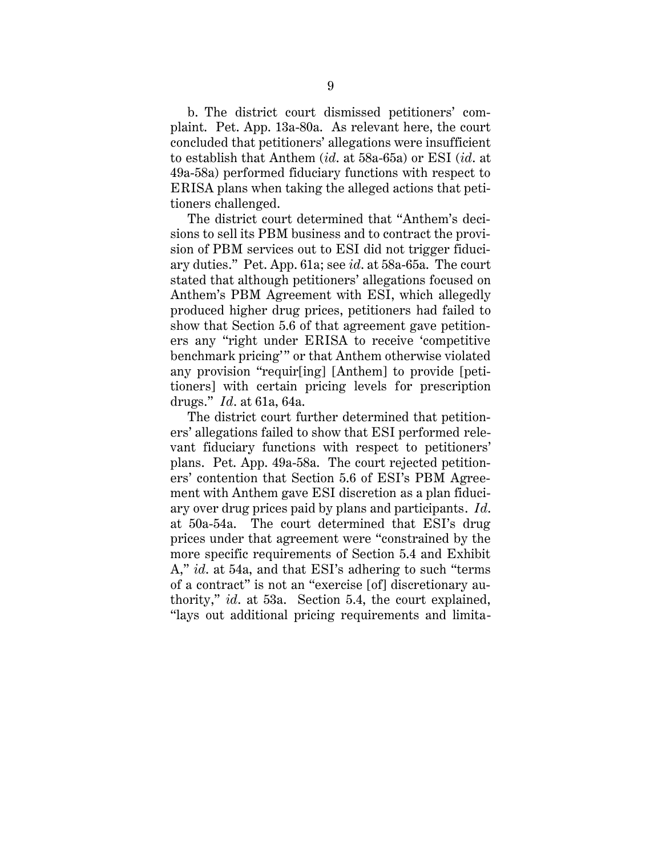b. The district court dismissed petitioners' complaint. Pet. App. 13a-80a. As relevant here, the court concluded that petitioners' allegations were insufficient to establish that Anthem (*id*. at 58a-65a) or ESI (*id*. at 49a-58a) performed fiduciary functions with respect to ERISA plans when taking the alleged actions that petitioners challenged.

The district court determined that "Anthem's decisions to sell its PBM business and to contract the provision of PBM services out to ESI did not trigger fiduciary duties." Pet. App. 61a; see *id*. at 58a-65a. The court stated that although petitioners' allegations focused on Anthem's PBM Agreement with ESI, which allegedly produced higher drug prices, petitioners had failed to show that Section 5.6 of that agreement gave petitioners any "right under ERISA to receive 'competitive benchmark pricing'" or that Anthem otherwise violated any provision "requir[ing] [Anthem] to provide [petitioners] with certain pricing levels for prescription drugs." *Id*. at 61a, 64a.

The district court further determined that petitioners' allegations failed to show that ESI performed relevant fiduciary functions with respect to petitioners' plans. Pet. App. 49a-58a. The court rejected petitioners' contention that Section 5.6 of ESI's PBM Agreement with Anthem gave ESI discretion as a plan fiduciary over drug prices paid by plans and participants. *Id*. at 50a-54a. The court determined that ESI's drug prices under that agreement were "constrained by the more specific requirements of Section 5.4 and Exhibit A," *id*. at 54a, and that ESI's adhering to such "terms of a contract" is not an "exercise [of] discretionary authority," *id*. at 53a. Section 5.4, the court explained, "lays out additional pricing requirements and limita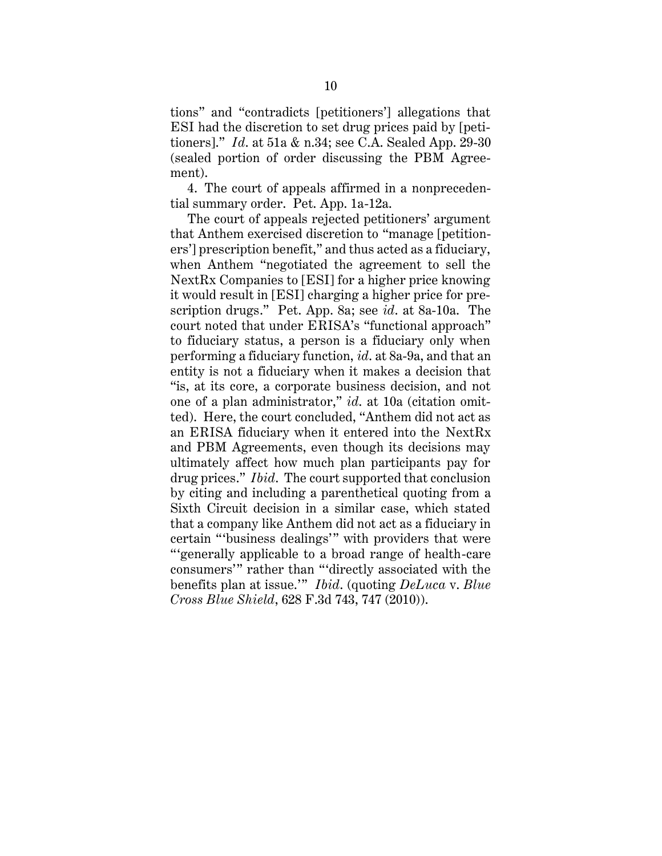tions" and "contradicts [petitioners'] allegations that ESI had the discretion to set drug prices paid by [petitioners]." *Id*. at 51a & n.34; see C.A. Sealed App. 29-30 (sealed portion of order discussing the PBM Agreement).

4. The court of appeals affirmed in a nonprecedential summary order. Pet. App. 1a-12a.

The court of appeals rejected petitioners' argument that Anthem exercised discretion to "manage [petitioners'] prescription benefit," and thus acted as a fiduciary, when Anthem "negotiated the agreement to sell the NextRx Companies to [ESI] for a higher price knowing it would result in [ESI] charging a higher price for prescription drugs." Pet. App. 8a; see *id*. at 8a-10a. The court noted that under ERISA's "functional approach" to fiduciary status, a person is a fiduciary only when performing a fiduciary function, *id*. at 8a-9a, and that an entity is not a fiduciary when it makes a decision that "is, at its core, a corporate business decision, and not one of a plan administrator," *id*. at 10a (citation omitted). Here, the court concluded, "Anthem did not act as an ERISA fiduciary when it entered into the NextRx and PBM Agreements, even though its decisions may ultimately affect how much plan participants pay for drug prices." *Ibid*. The court supported that conclusion by citing and including a parenthetical quoting from a Sixth Circuit decision in a similar case, which stated that a company like Anthem did not act as a fiduciary in certain "'business dealings'" with providers that were "'generally applicable to a broad range of health-care consumers'" rather than "'directly associated with the benefits plan at issue.'" *Ibid*. (quoting *DeLuca* v. *Blue Cross Blue Shield*, 628 F.3d 743, 747 (2010)).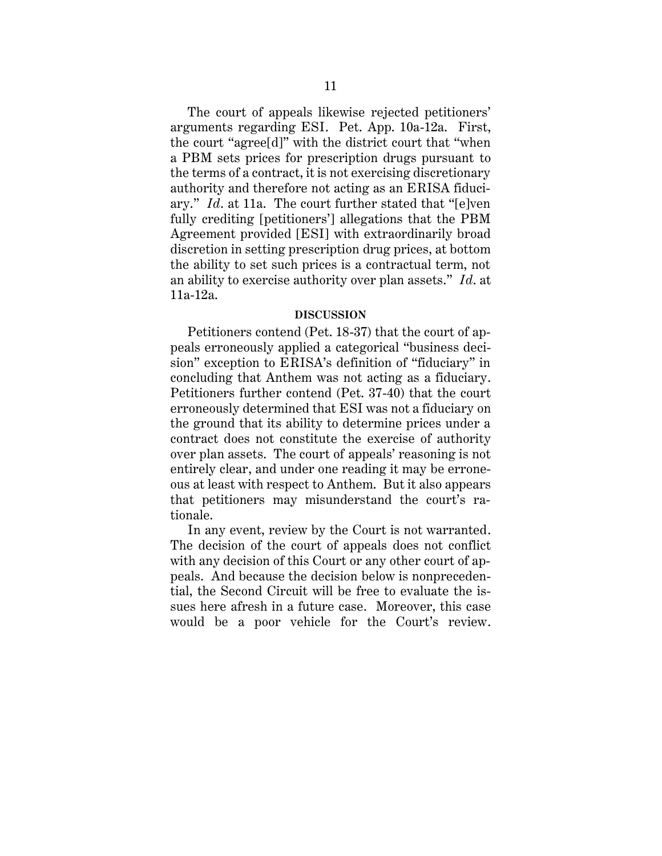The court of appeals likewise rejected petitioners' arguments regarding ESI. Pet. App. 10a-12a. First, the court "agree[d]" with the district court that "when a PBM sets prices for prescription drugs pursuant to the terms of a contract, it is not exercising discretionary authority and therefore not acting as an ERISA fiduciary." *Id*. at 11a. The court further stated that "[e]ven fully crediting [petitioners'] allegations that the PBM Agreement provided [ESI] with extraordinarily broad discretion in setting prescription drug prices, at bottom the ability to set such prices is a contractual term, not an ability to exercise authority over plan assets." *Id*. at 11a-12a.

### **DISCUSSION**

<span id="page-14-0"></span>Petitioners contend (Pet. 18-37) that the court of appeals erroneously applied a categorical "business decision" exception to ERISA's definition of "fiduciary" in concluding that Anthem was not acting as a fiduciary. Petitioners further contend (Pet. 37-40) that the court erroneously determined that ESI was not a fiduciary on the ground that its ability to determine prices under a contract does not constitute the exercise of authority over plan assets. The court of appeals' reasoning is not entirely clear, and under one reading it may be erroneous at least with respect to Anthem. But it also appears that petitioners may misunderstand the court's rationale.

In any event, review by the Court is not warranted. The decision of the court of appeals does not conflict with any decision of this Court or any other court of appeals. And because the decision below is nonprecedential, the Second Circuit will be free to evaluate the issues here afresh in a future case. Moreover, this case would be a poor vehicle for the Court's review.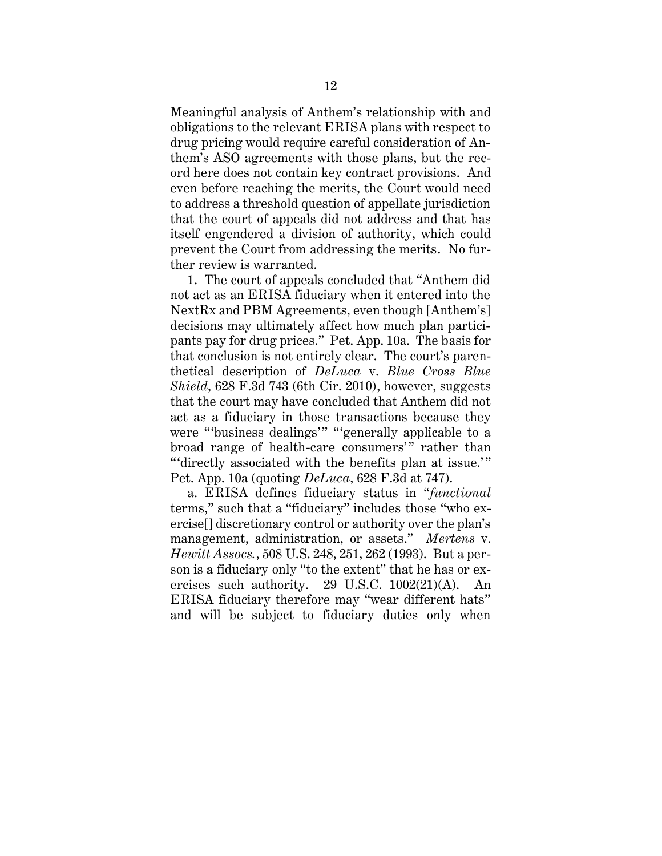Meaningful analysis of Anthem's relationship with and obligations to the relevant ERISA plans with respect to drug pricing would require careful consideration of Anthem's ASO agreements with those plans, but the record here does not contain key contract provisions. And even before reaching the merits, the Court would need to address a threshold question of appellate jurisdiction that the court of appeals did not address and that has itself engendered a division of authority, which could prevent the Court from addressing the merits. No further review is warranted.

1. The court of appeals concluded that "Anthem did not act as an ERISA fiduciary when it entered into the NextRx and PBM Agreements, even though [Anthem's] decisions may ultimately affect how much plan participants pay for drug prices." Pet. App. 10a. The basis for that conclusion is not entirely clear. The court's parenthetical description of *DeLuca* v. *Blue Cross Blue Shield*, 628 F.3d 743 (6th Cir. 2010), however, suggests that the court may have concluded that Anthem did not act as a fiduciary in those transactions because they were "'business dealings'" "'generally applicable to a broad range of health-care consumers'" rather than "'directly associated with the benefits plan at issue.'" Pet. App. 10a (quoting *DeLuca*, 628 F.3d at 747).

a. ERISA defines fiduciary status in "*functional* terms," such that a "fiduciary" includes those "who exercise[] discretionary control or authority over the plan's management, administration, or assets." *Mertens* v. *Hewitt Assocs.*, 508 U.S. 248, 251, 262 (1993). But a person is a fiduciary only "to the extent" that he has or exercises such authority. 29 U.S.C. 1002(21)(A). An ERISA fiduciary therefore may "wear different hats" and will be subject to fiduciary duties only when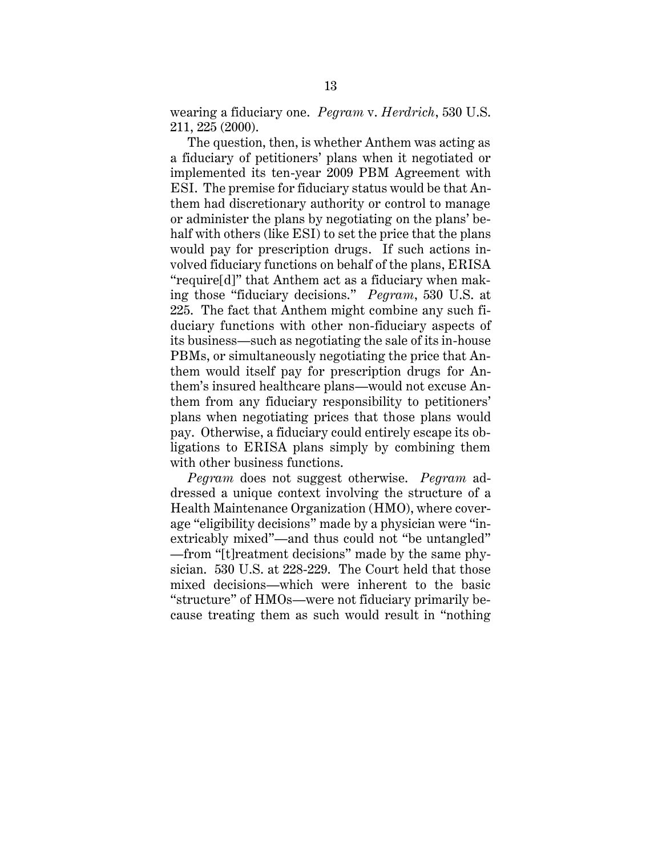wearing a fiduciary one. *Pegram* v. *Herdrich*, 530 U.S. 211, 225 (2000).

The question, then, is whether Anthem was acting as a fiduciary of petitioners' plans when it negotiated or implemented its ten-year 2009 PBM Agreement with ESI. The premise for fiduciary status would be that Anthem had discretionary authority or control to manage or administer the plans by negotiating on the plans' behalf with others (like ESI) to set the price that the plans would pay for prescription drugs. If such actions involved fiduciary functions on behalf of the plans, ERISA "require[d]" that Anthem act as a fiduciary when making those "fiduciary decisions." *Pegram*, 530 U.S. at 225. The fact that Anthem might combine any such fiduciary functions with other non-fiduciary aspects of its business—such as negotiating the sale of its in-house PBMs, or simultaneously negotiating the price that Anthem would itself pay for prescription drugs for Anthem's insured healthcare plans—would not excuse Anthem from any fiduciary responsibility to petitioners' plans when negotiating prices that those plans would pay. Otherwise, a fiduciary could entirely escape its obligations to ERISA plans simply by combining them with other business functions.

*Pegram* does not suggest otherwise. *Pegram* addressed a unique context involving the structure of a Health Maintenance Organization (HMO), where coverage "eligibility decisions" made by a physician were "inextricably mixed"—and thus could not "be untangled" —from "[t]reatment decisions" made by the same physician. 530 U.S. at 228-229. The Court held that those mixed decisions—which were inherent to the basic "structure" of HMOs—were not fiduciary primarily because treating them as such would result in "nothing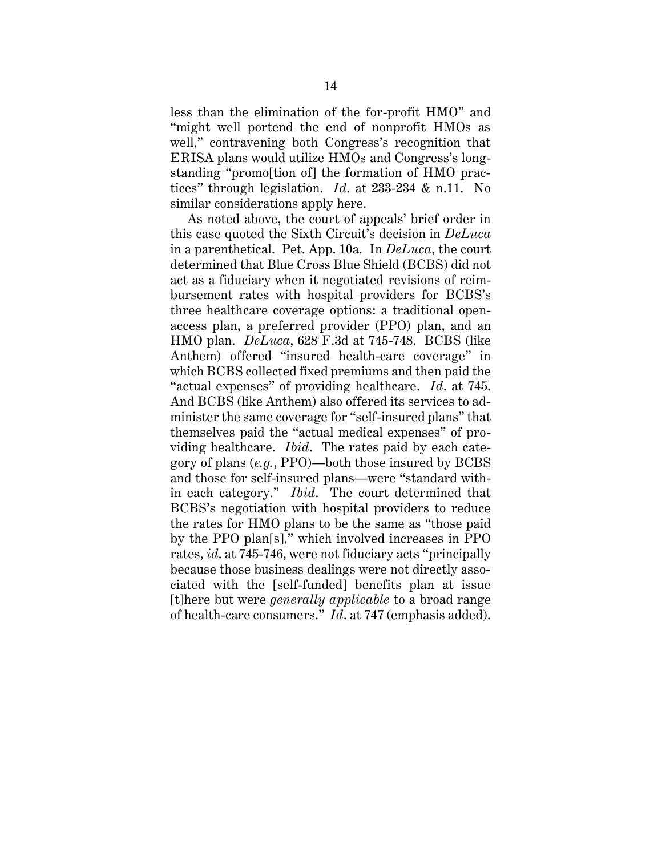less than the elimination of the for-profit HMO" and "might well portend the end of nonprofit HMOs as well," contravening both Congress's recognition that ERISA plans would utilize HMOs and Congress's longstanding "promo[tion of] the formation of HMO practices" through legislation. *Id*. at 233-234 & n.11. No similar considerations apply here.

As noted above, the court of appeals' brief order in this case quoted the Sixth Circuit's decision in *DeLuca* in a parenthetical. Pet. App. 10a. In *DeLuca*, the court determined that Blue Cross Blue Shield (BCBS) did not act as a fiduciary when it negotiated revisions of reimbursement rates with hospital providers for BCBS's three healthcare coverage options: a traditional openaccess plan, a preferred provider (PPO) plan, and an HMO plan. *DeLuca*, 628 F.3d at 745-748. BCBS (like Anthem) offered "insured health-care coverage" in which BCBS collected fixed premiums and then paid the "actual expenses" of providing healthcare. *Id*. at 745. And BCBS (like Anthem) also offered its services to administer the same coverage for "self-insured plans" that themselves paid the "actual medical expenses" of providing healthcare. *Ibid*. The rates paid by each category of plans (*e.g.*, PPO)—both those insured by BCBS and those for self-insured plans—were "standard within each category." *Ibid*. The court determined that BCBS's negotiation with hospital providers to reduce the rates for HMO plans to be the same as "those paid by the PPO plan[s]," which involved increases in PPO rates, *id*. at 745-746, were not fiduciary acts "principally because those business dealings were not directly associated with the [self-funded] benefits plan at issue [t]here but were *generally applicable* to a broad range of health-care consumers." *Id*. at 747 (emphasis added).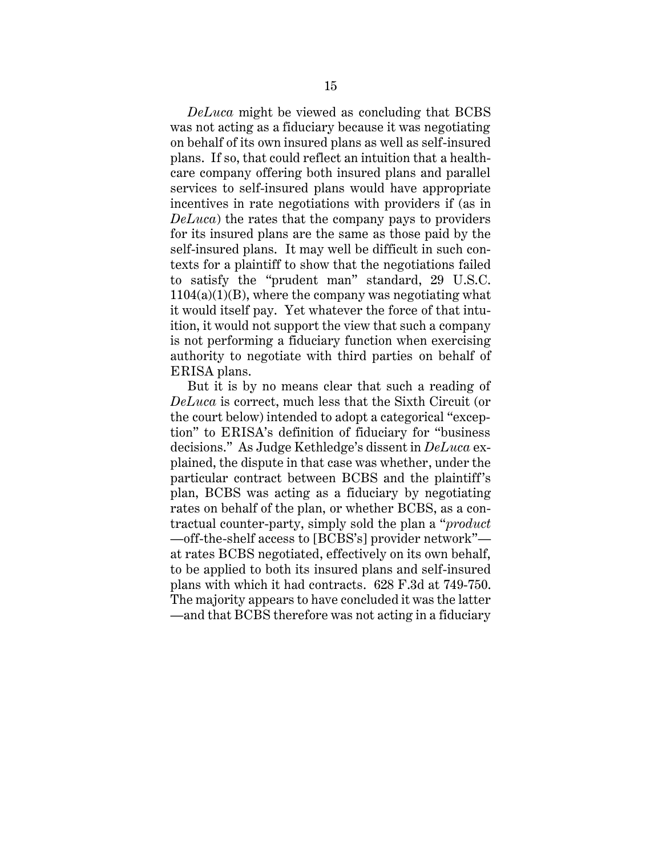*DeLuca* might be viewed as concluding that BCBS was not acting as a fiduciary because it was negotiating on behalf of its own insured plans as well as self-insured plans. If so, that could reflect an intuition that a healthcare company offering both insured plans and parallel services to self-insured plans would have appropriate incentives in rate negotiations with providers if (as in *DeLuca*) the rates that the company pays to providers for its insured plans are the same as those paid by the self-insured plans. It may well be difficult in such contexts for a plaintiff to show that the negotiations failed to satisfy the "prudent man" standard, 29 U.S.C.  $1104(a)(1)(B)$ , where the company was negotiating what it would itself pay. Yet whatever the force of that intuition, it would not support the view that such a company is not performing a fiduciary function when exercising authority to negotiate with third parties on behalf of ERISA plans.

But it is by no means clear that such a reading of *DeLuca* is correct, much less that the Sixth Circuit (or the court below) intended to adopt a categorical "exception" to ERISA's definition of fiduciary for "business decisions." As Judge Kethledge's dissent in *DeLuca* explained, the dispute in that case was whether, under the particular contract between BCBS and the plaintiff's plan, BCBS was acting as a fiduciary by negotiating rates on behalf of the plan, or whether BCBS, as a contractual counter-party, simply sold the plan a "*product* —off-the-shelf access to [BCBS's] provider network" at rates BCBS negotiated, effectively on its own behalf, to be applied to both its insured plans and self-insured plans with which it had contracts. 628 F.3d at 749-750. The majority appears to have concluded it was the latter —and that BCBS therefore was not acting in a fiduciary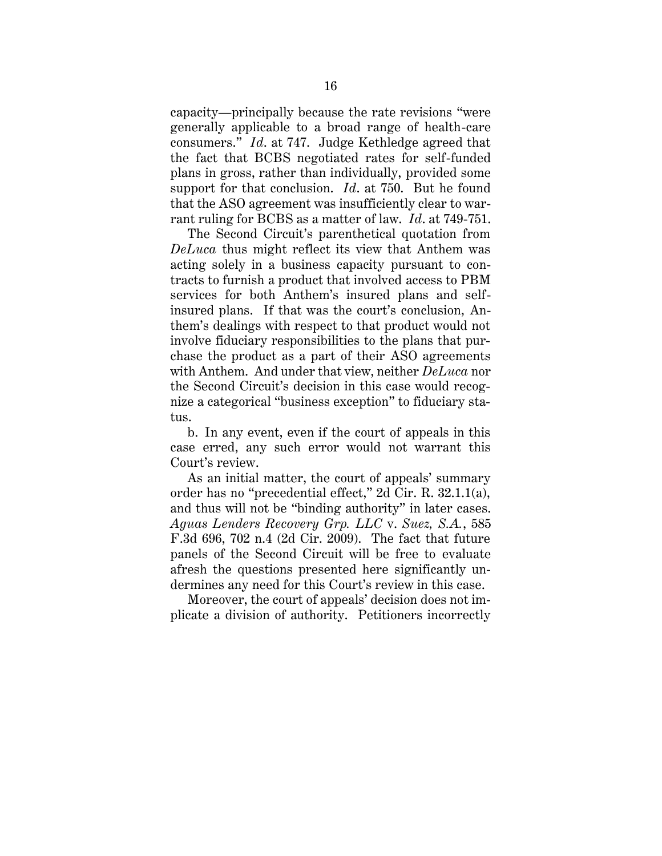capacity—principally because the rate revisions "were generally applicable to a broad range of health-care consumers." *Id*. at 747. Judge Kethledge agreed that the fact that BCBS negotiated rates for self-funded plans in gross, rather than individually, provided some support for that conclusion. *Id*. at 750. But he found that the ASO agreement was insufficiently clear to warrant ruling for BCBS as a matter of law. *Id*. at 749-751.

The Second Circuit's parenthetical quotation from *DeLuca* thus might reflect its view that Anthem was acting solely in a business capacity pursuant to contracts to furnish a product that involved access to PBM services for both Anthem's insured plans and selfinsured plans. If that was the court's conclusion, Anthem's dealings with respect to that product would not involve fiduciary responsibilities to the plans that purchase the product as a part of their ASO agreements with Anthem. And under that view, neither *DeLuca* nor the Second Circuit's decision in this case would recognize a categorical "business exception" to fiduciary status.

b. In any event, even if the court of appeals in this case erred, any such error would not warrant this Court's review.

As an initial matter, the court of appeals' summary order has no "precedential effect," 2d Cir. R. 32.1.1(a), and thus will not be "binding authority" in later cases. *Aguas Lenders Recovery Grp. LLC* v. *Suez, S.A.*, 585 F.3d 696, 702 n.4 (2d Cir. 2009). The fact that future panels of the Second Circuit will be free to evaluate afresh the questions presented here significantly undermines any need for this Court's review in this case.

Moreover, the court of appeals' decision does not implicate a division of authority. Petitioners incorrectly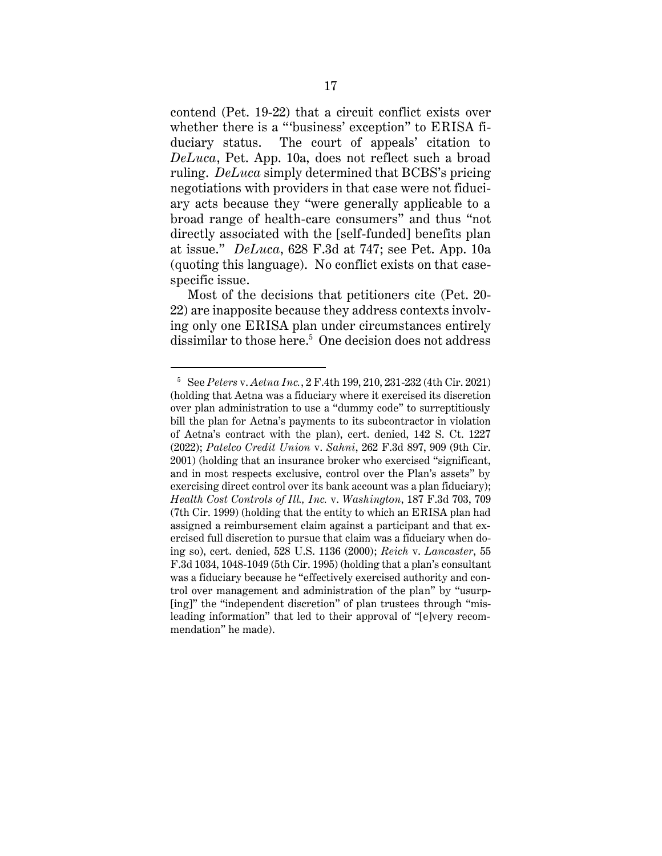contend (Pet. 19-22) that a circuit conflict exists over whether there is a "'business' exception" to ERISA fiduciary status. The court of appeals' citation to *DeLuca*, Pet. App. 10a, does not reflect such a broad ruling. *DeLuca* simply determined that BCBS's pricing negotiations with providers in that case were not fiduciary acts because they "were generally applicable to a broad range of health-care consumers" and thus "not directly associated with the [self-funded] benefits plan at issue." *DeLuca*, 628 F.3d at 747; see Pet. App. 10a (quoting this language). No conflict exists on that casespecific issue.

Most of the decisions that petitioners cite (Pet. 20- 22) are inapposite because they address contexts involving only one ERISA plan under circumstances entirely dissimilar to those here. 5 One decision does not address

<sup>5</sup> See *Peters* v. *Aetna Inc.*, 2 F.4th 199, 210, 231-232 (4th Cir. 2021) (holding that Aetna was a fiduciary where it exercised its discretion over plan administration to use a "dummy code" to surreptitiously bill the plan for Aetna's payments to its subcontractor in violation of Aetna's contract with the plan), cert. denied, 142 S. Ct. 1227 (2022); *Patelco Credit Union* v. *Sahni*, 262 F.3d 897, 909 (9th Cir. 2001) (holding that an insurance broker who exercised "significant, and in most respects exclusive, control over the Plan's assets" by exercising direct control over its bank account was a plan fiduciary); *Health Cost Controls of Ill., Inc.* v. *Washington*, 187 F.3d 703, 709 (7th Cir. 1999) (holding that the entity to which an ERISA plan had assigned a reimbursement claim against a participant and that exercised full discretion to pursue that claim was a fiduciary when doing so), cert. denied, 528 U.S. 1136 (2000); *Reich* v. *Lancaster*, 55 F.3d 1034, 1048-1049 (5th Cir. 1995) (holding that a plan's consultant was a fiduciary because he "effectively exercised authority and control over management and administration of the plan" by "usurp- [ing]" the "independent discretion" of plan trustees through "misleading information" that led to their approval of "[e]very recommendation" he made).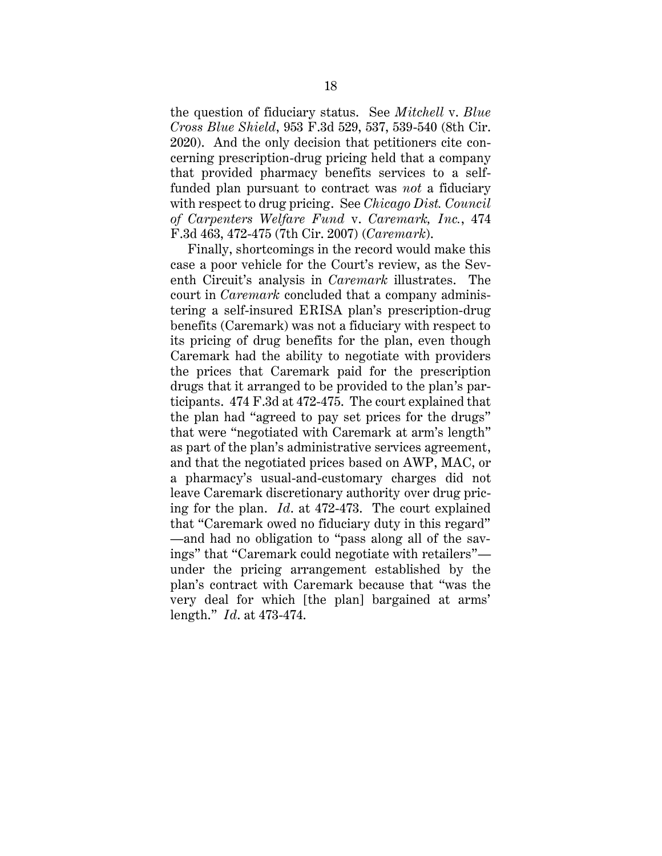the question of fiduciary status. See *Mitchell* v. *Blue Cross Blue Shield*, 953 F.3d 529, 537, 539-540 (8th Cir. 2020). And the only decision that petitioners cite concerning prescription-drug pricing held that a company that provided pharmacy benefits services to a selffunded plan pursuant to contract was *not* a fiduciary with respect to drug pricing. See *Chicago Dist. Council of Carpenters Welfare Fund* v. *Caremark, Inc.*, 474 F.3d 463, 472-475 (7th Cir. 2007) (*Caremark*).

Finally, shortcomings in the record would make this case a poor vehicle for the Court's review, as the Seventh Circuit's analysis in *Caremark* illustrates. The court in *Caremark* concluded that a company administering a self-insured ERISA plan's prescription-drug benefits (Caremark) was not a fiduciary with respect to its pricing of drug benefits for the plan, even though Caremark had the ability to negotiate with providers the prices that Caremark paid for the prescription drugs that it arranged to be provided to the plan's participants. 474 F.3d at 472-475. The court explained that the plan had "agreed to pay set prices for the drugs" that were "negotiated with Caremark at arm's length" as part of the plan's administrative services agreement, and that the negotiated prices based on AWP, MAC, or a pharmacy's usual-and-customary charges did not leave Caremark discretionary authority over drug pricing for the plan. *Id*. at 472-473. The court explained that "Caremark owed no fiduciary duty in this regard" —and had no obligation to "pass along all of the savings" that "Caremark could negotiate with retailers" under the pricing arrangement established by the plan's contract with Caremark because that "was the very deal for which [the plan] bargained at arms' length." *Id*. at 473-474.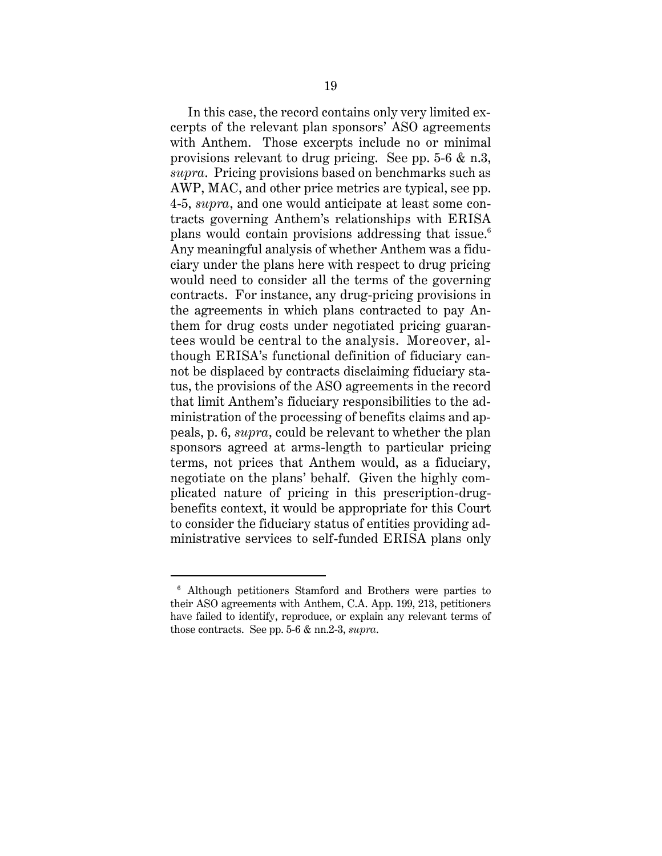In this case, the record contains only very limited excerpts of the relevant plan sponsors' ASO agreements with Anthem. Those excerpts include no or minimal provisions relevant to drug pricing. See pp. 5-6 & n.3, *supra*. Pricing provisions based on benchmarks such as AWP, MAC, and other price metrics are typical, see pp. 4-5, *supra*, and one would anticipate at least some contracts governing Anthem's relationships with ERISA plans would contain provisions addressing that issue.<sup>6</sup> Any meaningful analysis of whether Anthem was a fiduciary under the plans here with respect to drug pricing would need to consider all the terms of the governing contracts. For instance, any drug-pricing provisions in the agreements in which plans contracted to pay Anthem for drug costs under negotiated pricing guarantees would be central to the analysis. Moreover, although ERISA's functional definition of fiduciary cannot be displaced by contracts disclaiming fiduciary status, the provisions of the ASO agreements in the record that limit Anthem's fiduciary responsibilities to the administration of the processing of benefits claims and appeals, p. 6, *supra*, could be relevant to whether the plan sponsors agreed at arms-length to particular pricing terms, not prices that Anthem would, as a fiduciary, negotiate on the plans' behalf. Given the highly complicated nature of pricing in this prescription-drugbenefits context, it would be appropriate for this Court to consider the fiduciary status of entities providing administrative services to self-funded ERISA plans only

<sup>6</sup> Although petitioners Stamford and Brothers were parties to their ASO agreements with Anthem, C.A. App. 199, 213, petitioners have failed to identify, reproduce, or explain any relevant terms of those contracts. See pp. 5-6 & nn.2-3, *supra*.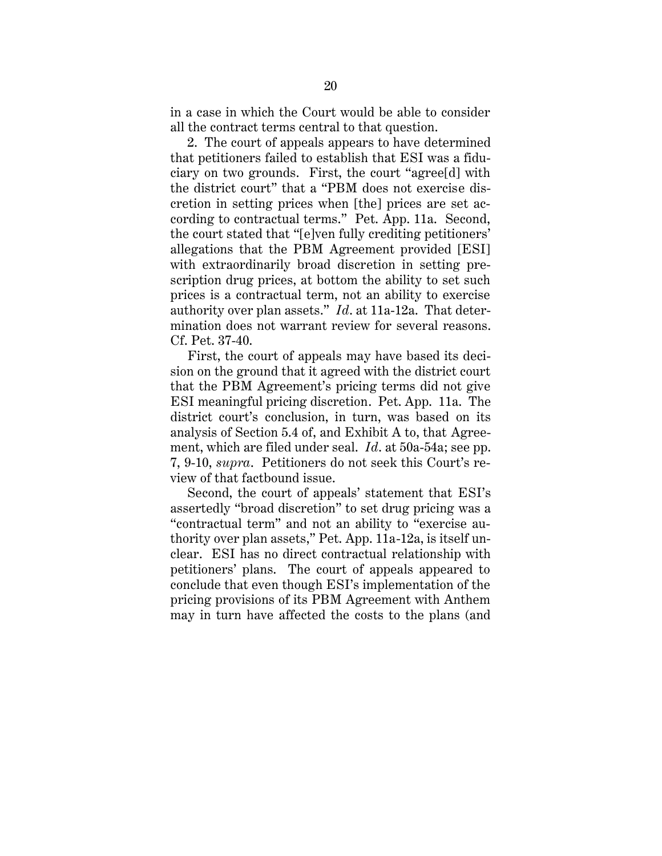in a case in which the Court would be able to consider all the contract terms central to that question.

2. The court of appeals appears to have determined that petitioners failed to establish that ESI was a fiduciary on two grounds. First, the court "agree[d] with the district court" that a "PBM does not exercise discretion in setting prices when [the] prices are set according to contractual terms." Pet. App. 11a. Second, the court stated that "[e]ven fully crediting petitioners' allegations that the PBM Agreement provided [ESI] with extraordinarily broad discretion in setting prescription drug prices, at bottom the ability to set such prices is a contractual term, not an ability to exercise authority over plan assets." *Id*. at 11a-12a. That determination does not warrant review for several reasons. Cf. Pet. 37-40.

First, the court of appeals may have based its decision on the ground that it agreed with the district court that the PBM Agreement's pricing terms did not give ESI meaningful pricing discretion. Pet. App. 11a. The district court's conclusion, in turn, was based on its analysis of Section 5.4 of, and Exhibit A to, that Agreement, which are filed under seal. *Id*. at 50a-54a; see pp. 7, 9-10, *supra*. Petitioners do not seek this Court's review of that factbound issue.

Second, the court of appeals' statement that ESI's assertedly "broad discretion" to set drug pricing was a "contractual term" and not an ability to "exercise authority over plan assets," Pet. App. 11a-12a, is itself unclear. ESI has no direct contractual relationship with petitioners' plans. The court of appeals appeared to conclude that even though ESI's implementation of the pricing provisions of its PBM Agreement with Anthem may in turn have affected the costs to the plans (and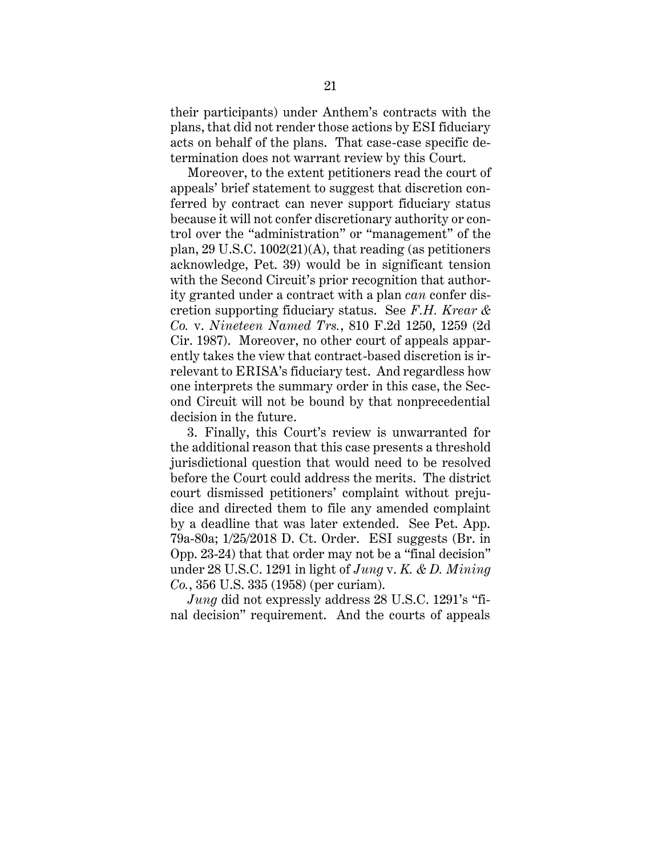their participants) under Anthem's contracts with the plans, that did not render those actions by ESI fiduciary acts on behalf of the plans. That case-case specific determination does not warrant review by this Court.

Moreover, to the extent petitioners read the court of appeals' brief statement to suggest that discretion conferred by contract can never support fiduciary status because it will not confer discretionary authority or control over the "administration" or "management" of the plan, 29 U.S.C. 1002(21)(A), that reading (as petitioners acknowledge, Pet. 39) would be in significant tension with the Second Circuit's prior recognition that authority granted under a contract with a plan *can* confer discretion supporting fiduciary status. See *F.H. Krear & Co.* v. *Nineteen Named Trs.*, 810 F.2d 1250, 1259 (2d Cir. 1987). Moreover, no other court of appeals apparently takes the view that contract-based discretion is irrelevant to ERISA's fiduciary test. And regardless how one interprets the summary order in this case, the Second Circuit will not be bound by that nonprecedential decision in the future.

3. Finally, this Court's review is unwarranted for the additional reason that this case presents a threshold jurisdictional question that would need to be resolved before the Court could address the merits. The district court dismissed petitioners' complaint without prejudice and directed them to file any amended complaint by a deadline that was later extended. See Pet. App. 79a-80a; 1/25/2018 D. Ct. Order. ESI suggests (Br. in Opp. 23-24) that that order may not be a "final decision" under 28 U.S.C. 1291 in light of *Jung* v. *K. & D. Mining Co.*, 356 U.S. 335 (1958) (per curiam).

*Jung* did not expressly address 28 U.S.C. 1291's "final decision" requirement. And the courts of appeals